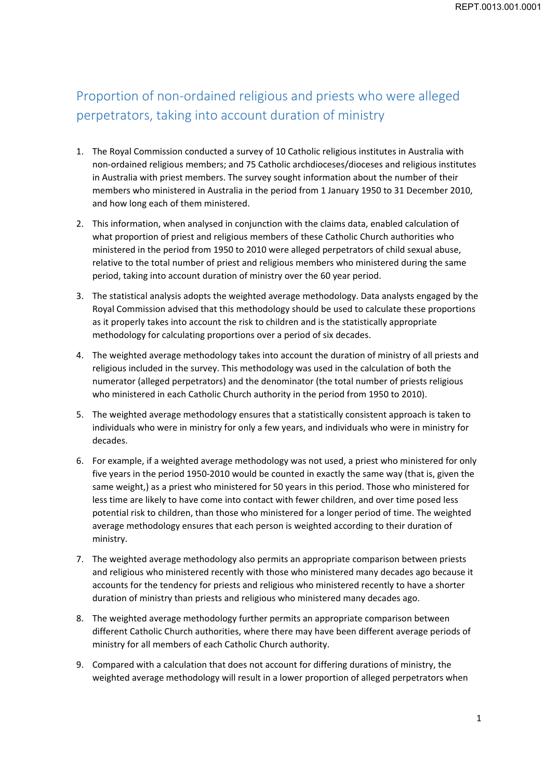# Proportion of non‐ordained religious and priests who were alleged perpetrators, taking into account duration of ministry

- 1. The Royal Commission conducted a survey of 10 Catholic religious institutes in Australia with non‐ordained religious members; and 75 Catholic archdioceses/dioceses and religious institutes in Australia with priest members. The survey sought information about the number of their members who ministered in Australia in the period from 1 January 1950 to 31 December 2010, and how long each of them ministered.
- 2. This information, when analysed in conjunction with the claims data, enabled calculation of what proportion of priest and religious members of these Catholic Church authorities who ministered in the period from 1950 to 2010 were alleged perpetrators of child sexual abuse, relative to the total number of priest and religious members who ministered during the same period, taking into account duration of ministry over the 60 year period.
- 3. The statistical analysis adopts the weighted average methodology. Data analysts engaged by the Royal Commission advised that this methodology should be used to calculate these proportions as it properly takes into account the risk to children and is the statistically appropriate methodology for calculating proportions over a period of six decades.
- 4. The weighted average methodology takes into account the duration of ministry of all priests and religious included in the survey. This methodology was used in the calculation of both the numerator (alleged perpetrators) and the denominator (the total number of priests religious who ministered in each Catholic Church authority in the period from 1950 to 2010).
- 5. The weighted average methodology ensures that a statistically consistent approach is taken to individuals who were in ministry for only a few years, and individuals who were in ministry for decades.
- 6. For example, if a weighted average methodology was not used, a priest who ministered for only five years in the period 1950‐2010 would be counted in exactly the same way (that is, given the same weight,) as a priest who ministered for 50 years in this period. Those who ministered for less time are likely to have come into contact with fewer children, and over time posed less potential risk to children, than those who ministered for a longer period of time. The weighted average methodology ensures that each person is weighted according to their duration of ministry.
- 7. The weighted average methodology also permits an appropriate comparison between priests and religious who ministered recently with those who ministered many decades ago because it accounts for the tendency for priests and religious who ministered recently to have a shorter duration of ministry than priests and religious who ministered many decades ago.
- 8. The weighted average methodology further permits an appropriate comparison between different Catholic Church authorities, where there may have been different average periods of ministry for all members of each Catholic Church authority.
- 9. Compared with a calculation that does not account for differing durations of ministry, the weighted average methodology will result in a lower proportion of alleged perpetrators when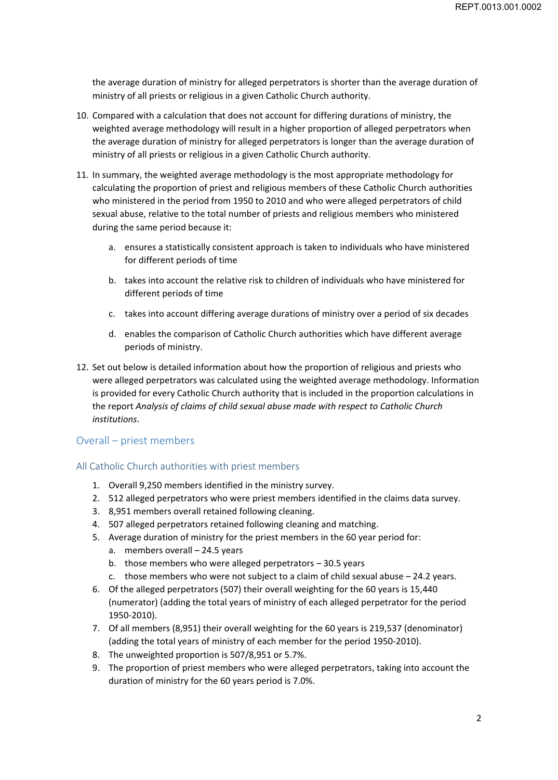the average duration of ministry for alleged perpetrators is shorter than the average duration of ministry of all priests or religious in a given Catholic Church authority.

- 10. Compared with a calculation that does not account for differing durations of ministry, the weighted average methodology will result in a higher proportion of alleged perpetrators when the average duration of ministry for alleged perpetrators is longer than the average duration of ministry of all priests or religious in a given Catholic Church authority.
- 11. In summary, the weighted average methodology is the most appropriate methodology for calculating the proportion of priest and religious members of these Catholic Church authorities who ministered in the period from 1950 to 2010 and who were alleged perpetrators of child sexual abuse, relative to the total number of priests and religious members who ministered during the same period because it:
	- a. ensures a statistically consistent approach is taken to individuals who have ministered for different periods of time
	- b. takes into account the relative risk to children of individuals who have ministered for different periods of time
	- c. takes into account differing average durations of ministry over a period of six decades
	- d. enables the comparison of Catholic Church authorities which have different average periods of ministry.
- 12. Set out below is detailed information about how the proportion of religious and priests who were alleged perpetrators was calculated using the weighted average methodology. Information is provided for every Catholic Church authority that is included in the proportion calculations in the report *Analysis of claims of child sexual abuse made with respect to Catholic Church institutions*.

# Overall – priest members

#### All Catholic Church authorities with priest members

- 1. Overall 9,250 members identified in the ministry survey.
- 2. 512 alleged perpetrators who were priest members identified in the claims data survey.
- 3. 8,951 members overall retained following cleaning.
- 4. 507 alleged perpetrators retained following cleaning and matching.
- 5. Average duration of ministry for the priest members in the 60 year period for:
	- a. members overall 24.5 years
	- b. those members who were alleged perpetrators 30.5 years
	- c. those members who were not subject to a claim of child sexual abuse  $-24.2$  years.
- 6. Of the alleged perpetrators (507) their overall weighting for the 60 years is 15,440 (numerator) (adding the total years of ministry of each alleged perpetrator for the period 1950‐2010).
- 7. Of all members (8,951) their overall weighting for the 60 years is 219,537 (denominator) (adding the total years of ministry of each member for the period 1950‐2010).
- 8. The unweighted proportion is 507/8,951 or 5.7%.
- 9. The proportion of priest members who were alleged perpetrators, taking into account the duration of ministry for the 60 years period is 7.0%.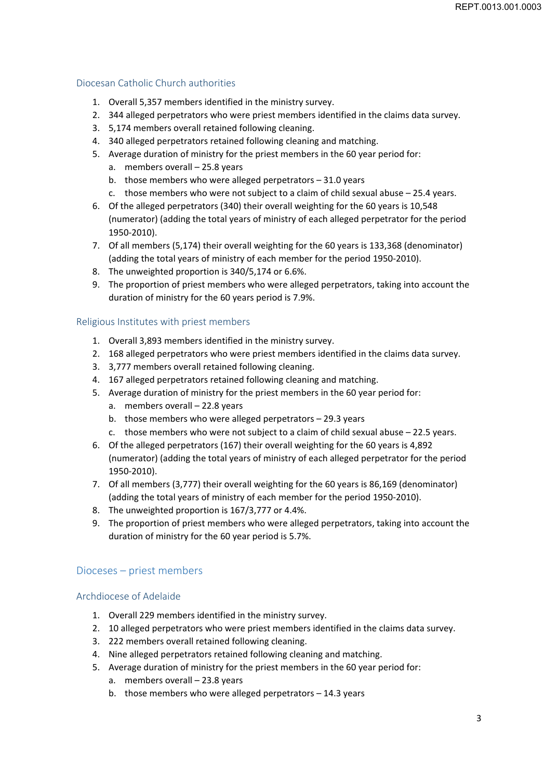# Diocesan Catholic Church authorities

- 1. Overall 5,357 members identified in the ministry survey.
- 2. 344 alleged perpetrators who were priest members identified in the claims data survey.
- 3. 5,174 members overall retained following cleaning.
- 4. 340 alleged perpetrators retained following cleaning and matching.
- 5. Average duration of ministry for the priest members in the 60 year period for:
	- a. members overall 25.8 years
	- b. those members who were alleged perpetrators  $-31.0$  years
	- c. those members who were not subject to a claim of child sexual abuse 25.4 years.
- 6. Of the alleged perpetrators (340) their overall weighting for the 60 years is 10,548 (numerator) (adding the total years of ministry of each alleged perpetrator for the period 1950‐2010).
- 7. Of all members (5,174) their overall weighting for the 60 years is 133,368 (denominator) (adding the total years of ministry of each member for the period 1950‐2010).
- 8. The unweighted proportion is 340/5,174 or 6.6%.
- 9. The proportion of priest members who were alleged perpetrators, taking into account the duration of ministry for the 60 years period is 7.9%.

#### Religious Institutes with priest members

- 1. Overall 3,893 members identified in the ministry survey.
- 2. 168 alleged perpetrators who were priest members identified in the claims data survey.
- 3. 3,777 members overall retained following cleaning.
- 4. 167 alleged perpetrators retained following cleaning and matching.
- 5. Average duration of ministry for the priest members in the 60 year period for:
	- a. members overall 22.8 years
	- b. those members who were alleged perpetrators 29.3 years
	- c. those members who were not subject to a claim of child sexual abuse 22.5 years.
- 6. Of the alleged perpetrators (167) their overall weighting for the 60 years is 4,892 (numerator) (adding the total years of ministry of each alleged perpetrator for the period 1950‐2010).
- 7. Of all members (3,777) their overall weighting for the 60 years is 86,169 (denominator) (adding the total years of ministry of each member for the period 1950‐2010).
- 8. The unweighted proportion is 167/3,777 or 4.4%.
- 9. The proportion of priest members who were alleged perpetrators, taking into account the duration of ministry for the 60 year period is 5.7%.

# Dioceses – priest members

#### Archdiocese of Adelaide

- 1. Overall 229 members identified in the ministry survey.
- 2. 10 alleged perpetrators who were priest members identified in the claims data survey.
- 3. 222 members overall retained following cleaning.
- 4. Nine alleged perpetrators retained following cleaning and matching.
- 5. Average duration of ministry for the priest members in the 60 year period for:
	- a. members overall 23.8 years
	- b. those members who were alleged perpetrators 14.3 years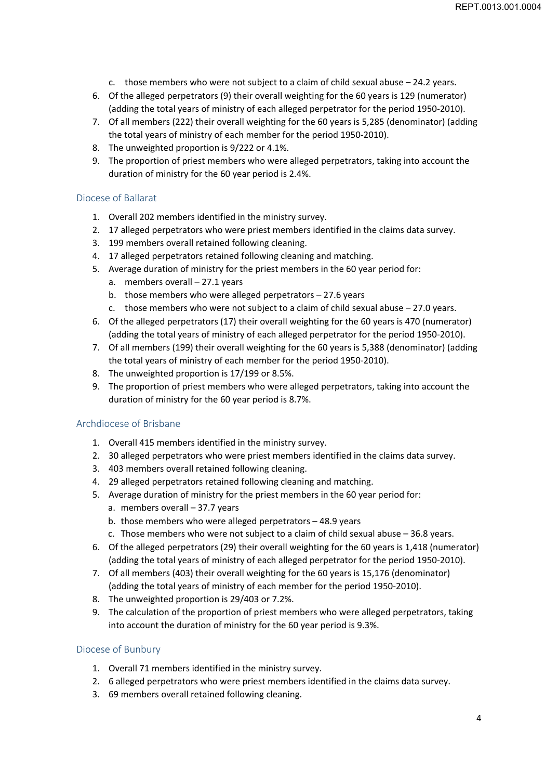- c. those members who were not subject to a claim of child sexual abuse  $-24.2$  years.
- 6. Of the alleged perpetrators (9) their overall weighting for the 60 years is 129 (numerator) (adding the total years of ministry of each alleged perpetrator for the period 1950‐2010).
- 7. Of all members (222) their overall weighting for the 60 years is 5,285 (denominator) (adding the total years of ministry of each member for the period 1950‐2010).
- 8. The unweighted proportion is 9/222 or 4.1%.
- 9. The proportion of priest members who were alleged perpetrators, taking into account the duration of ministry for the 60 year period is 2.4%.

#### Diocese of Ballarat

- 1. Overall 202 members identified in the ministry survey.
- 2. 17 alleged perpetrators who were priest members identified in the claims data survey.
- 3. 199 members overall retained following cleaning.
- 4. 17 alleged perpetrators retained following cleaning and matching.
- 5. Average duration of ministry for the priest members in the 60 year period for:
	- a. members overall 27.1 years
	- b. those members who were alleged perpetrators 27.6 years
	- c. those members who were not subject to a claim of child sexual abuse 27.0 years.
- 6. Of the alleged perpetrators (17) their overall weighting for the 60 years is 470 (numerator) (adding the total years of ministry of each alleged perpetrator for the period 1950‐2010).
- 7. Of all members (199) their overall weighting for the 60 years is 5,388 (denominator) (adding the total years of ministry of each member for the period 1950‐2010).
- 8. The unweighted proportion is 17/199 or 8.5%.
- 9. The proportion of priest members who were alleged perpetrators, taking into account the duration of ministry for the 60 year period is 8.7%.

#### Archdiocese of Brisbane

- 1. Overall 415 members identified in the ministry survey.
- 2. 30 alleged perpetrators who were priest members identified in the claims data survey.
- 3. 403 members overall retained following cleaning.
- 4. 29 alleged perpetrators retained following cleaning and matching.
- 5. Average duration of ministry for the priest members in the 60 year period for:
	- a. members overall 37.7 years
	- b. those members who were alleged perpetrators 48.9 years
	- c. Those members who were not subject to a claim of child sexual abuse 36.8 years.
- 6. Of the alleged perpetrators (29) their overall weighting for the 60 years is 1,418 (numerator) (adding the total years of ministry of each alleged perpetrator for the period 1950‐2010).
- 7. Of all members (403) their overall weighting for the 60 years is 15,176 (denominator) (adding the total years of ministry of each member for the period 1950‐2010).
- 8. The unweighted proportion is 29/403 or 7.2%.
- 9. The calculation of the proportion of priest members who were alleged perpetrators, taking into account the duration of ministry for the 60 year period is 9.3%.

#### Diocese of Bunbury

- 1. Overall 71 members identified in the ministry survey.
- 2. 6 alleged perpetrators who were priest members identified in the claims data survey.
- 3. 69 members overall retained following cleaning.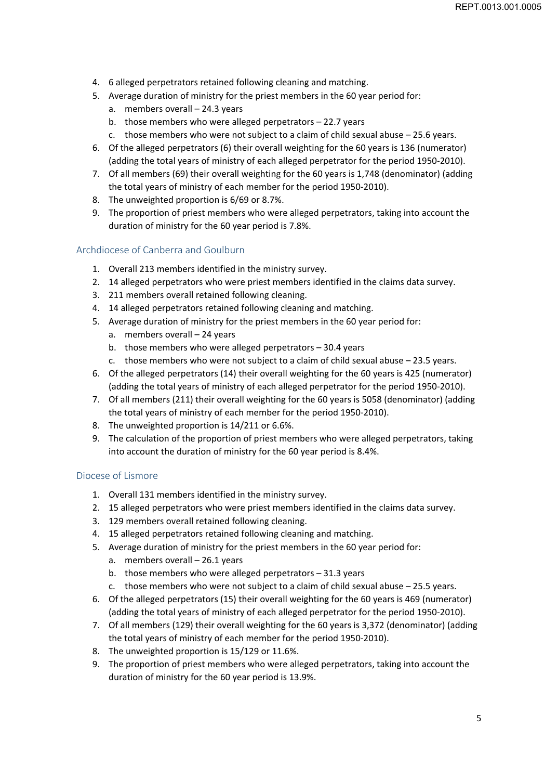- 4. 6 alleged perpetrators retained following cleaning and matching.
- 5. Average duration of ministry for the priest members in the 60 year period for:
	- a. members overall 24.3 years
	- b. those members who were alleged perpetrators 22.7 years
	- c. those members who were not subject to a claim of child sexual abuse 25.6 years.
- 6. Of the alleged perpetrators (6) their overall weighting for the 60 years is 136 (numerator) (adding the total years of ministry of each alleged perpetrator for the period 1950‐2010).
- 7. Of all members (69) their overall weighting for the 60 years is 1,748 (denominator) (adding the total years of ministry of each member for the period 1950‐2010).
- 8. The unweighted proportion is 6/69 or 8.7%.
- 9. The proportion of priest members who were alleged perpetrators, taking into account the duration of ministry for the 60 year period is 7.8%.

## Archdiocese of Canberra and Goulburn

- 1. Overall 213 members identified in the ministry survey.
- 2. 14 alleged perpetrators who were priest members identified in the claims data survey.
- 3. 211 members overall retained following cleaning.
- 4. 14 alleged perpetrators retained following cleaning and matching.
- 5. Average duration of ministry for the priest members in the 60 year period for:
	- a. members overall 24 years
	- b. those members who were alleged perpetrators 30.4 years
	- c. those members who were not subject to a claim of child sexual abuse 23.5 years.
- 6. Of the alleged perpetrators (14) their overall weighting for the 60 years is 425 (numerator) (adding the total years of ministry of each alleged perpetrator for the period 1950‐2010).
- 7. Of all members (211) their overall weighting for the 60 years is 5058 (denominator) (adding the total years of ministry of each member for the period 1950‐2010).
- 8. The unweighted proportion is 14/211 or 6.6%.
- 9. The calculation of the proportion of priest members who were alleged perpetrators, taking into account the duration of ministry for the 60 year period is 8.4%.

#### Diocese of Lismore

- 1. Overall 131 members identified in the ministry survey.
- 2. 15 alleged perpetrators who were priest members identified in the claims data survey.
- 3. 129 members overall retained following cleaning.
- 4. 15 alleged perpetrators retained following cleaning and matching.
- 5. Average duration of ministry for the priest members in the 60 year period for:
	- a. members overall 26.1 years
	- b. those members who were alleged perpetrators 31.3 years
	- c. those members who were not subject to a claim of child sexual abuse 25.5 years.
- 6. Of the alleged perpetrators (15) their overall weighting for the 60 years is 469 (numerator) (adding the total years of ministry of each alleged perpetrator for the period 1950‐2010).
- 7. Of all members (129) their overall weighting for the 60 years is 3,372 (denominator) (adding the total years of ministry of each member for the period 1950‐2010).
- 8. The unweighted proportion is 15/129 or 11.6%.
- 9. The proportion of priest members who were alleged perpetrators, taking into account the duration of ministry for the 60 year period is 13.9%.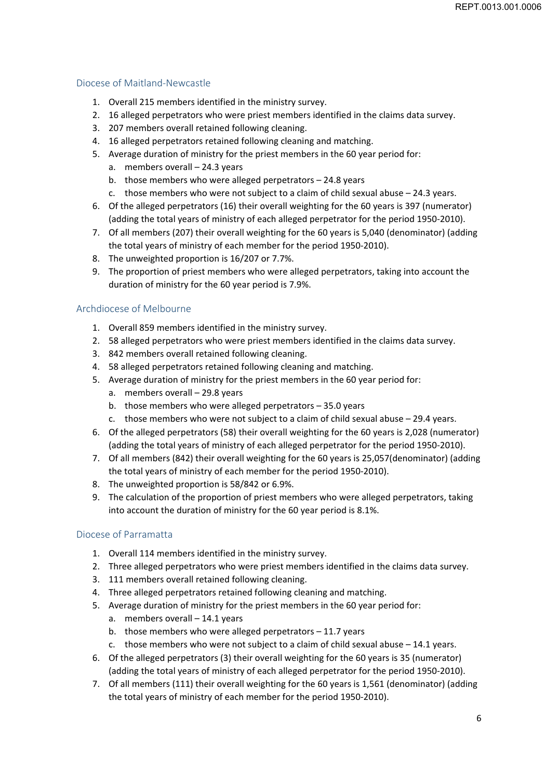## Diocese of Maitland‐Newcastle

- 1. Overall 215 members identified in the ministry survey.
- 2. 16 alleged perpetrators who were priest members identified in the claims data survey.
- 3. 207 members overall retained following cleaning.
- 4. 16 alleged perpetrators retained following cleaning and matching.
- 5. Average duration of ministry for the priest members in the 60 year period for:
	- a. members overall 24.3 years
	- b. those members who were alleged perpetrators 24.8 years
	- c. those members who were not subject to a claim of child sexual abuse 24.3 years.
- 6. Of the alleged perpetrators (16) their overall weighting for the 60 years is 397 (numerator) (adding the total years of ministry of each alleged perpetrator for the period 1950‐2010).
- 7. Of all members (207) their overall weighting for the 60 years is 5,040 (denominator) (adding the total years of ministry of each member for the period 1950‐2010).
- 8. The unweighted proportion is 16/207 or 7.7%.
- 9. The proportion of priest members who were alleged perpetrators, taking into account the duration of ministry for the 60 year period is 7.9%.

## Archdiocese of Melbourne

- 1. Overall 859 members identified in the ministry survey.
- 2. 58 alleged perpetrators who were priest members identified in the claims data survey.
- 3. 842 members overall retained following cleaning.
- 4. 58 alleged perpetrators retained following cleaning and matching.
- 5. Average duration of ministry for the priest members in the 60 year period for:
	- a. members overall 29.8 years
	- b. those members who were alleged perpetrators 35.0 years
	- c. those members who were not subject to a claim of child sexual abuse 29.4 years.
- 6. Of the alleged perpetrators (58) their overall weighting for the 60 years is 2,028 (numerator) (adding the total years of ministry of each alleged perpetrator for the period 1950‐2010).
- 7. Of all members (842) their overall weighting for the 60 years is 25,057(denominator) (adding the total years of ministry of each member for the period 1950‐2010).
- 8. The unweighted proportion is 58/842 or 6.9%.
- 9. The calculation of the proportion of priest members who were alleged perpetrators, taking into account the duration of ministry for the 60 year period is 8.1%.

# Diocese of Parramatta

- 1. Overall 114 members identified in the ministry survey.
- 2. Three alleged perpetrators who were priest members identified in the claims data survey.
- 3. 111 members overall retained following cleaning.
- 4. Three alleged perpetrators retained following cleaning and matching.
- 5. Average duration of ministry for the priest members in the 60 year period for:
	- a. members overall 14.1 years
	- b. those members who were alleged perpetrators 11.7 years
	- c. those members who were not subject to a claim of child sexual abuse  $-14.1$  years.
- 6. Of the alleged perpetrators (3) their overall weighting for the 60 years is 35 (numerator) (adding the total years of ministry of each alleged perpetrator for the period 1950‐2010).
- 7. Of all members (111) their overall weighting for the 60 years is 1,561 (denominator) (adding the total years of ministry of each member for the period 1950‐2010).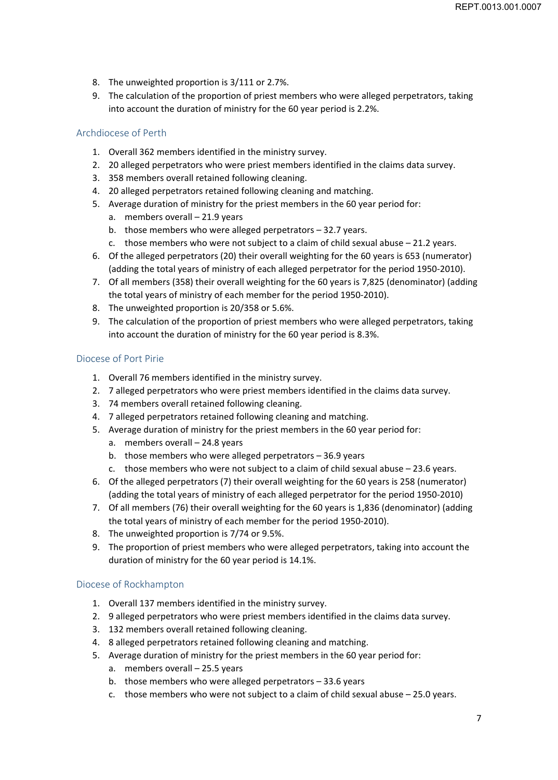- 8. The unweighted proportion is 3/111 or 2.7%.
- 9. The calculation of the proportion of priest members who were alleged perpetrators, taking into account the duration of ministry for the 60 year period is 2.2%.

# Archdiocese of Perth

- 1. Overall 362 members identified in the ministry survey.
- 2. 20 alleged perpetrators who were priest members identified in the claims data survey.
- 3. 358 members overall retained following cleaning.
- 4. 20 alleged perpetrators retained following cleaning and matching.
- 5. Average duration of ministry for the priest members in the 60 year period for:
	- a. members overall 21.9 years
	- b. those members who were alleged perpetrators 32.7 years.
	- c. those members who were not subject to a claim of child sexual abuse 21.2 years.
- 6. Of the alleged perpetrators (20) their overall weighting for the 60 years is 653 (numerator) (adding the total years of ministry of each alleged perpetrator for the period 1950‐2010).
- 7. Of all members (358) their overall weighting for the 60 years is 7,825 (denominator) (adding the total years of ministry of each member for the period 1950‐2010).
- 8. The unweighted proportion is 20/358 or 5.6%.
- 9. The calculation of the proportion of priest members who were alleged perpetrators, taking into account the duration of ministry for the 60 year period is 8.3%.

#### Diocese of Port Pirie

- 1. Overall 76 members identified in the ministry survey.
- 2. 7 alleged perpetrators who were priest members identified in the claims data survey.
- 3. 74 members overall retained following cleaning.
- 4. 7 alleged perpetrators retained following cleaning and matching.
- 5. Average duration of ministry for the priest members in the 60 year period for:
	- a. members overall 24.8 years
	- b. those members who were alleged perpetrators 36.9 years
	- c. those members who were not subject to a claim of child sexual abuse 23.6 years.
- 6. Of the alleged perpetrators (7) their overall weighting for the 60 years is 258 (numerator) (adding the total years of ministry of each alleged perpetrator for the period 1950‐2010)
- 7. Of all members (76) their overall weighting for the 60 years is 1,836 (denominator) (adding the total years of ministry of each member for the period 1950‐2010).
- 8. The unweighted proportion is 7/74 or 9.5%.
- 9. The proportion of priest members who were alleged perpetrators, taking into account the duration of ministry for the 60 year period is 14.1%.

# Diocese of Rockhampton

- 1. Overall 137 members identified in the ministry survey.
- 2. 9 alleged perpetrators who were priest members identified in the claims data survey.
- 3. 132 members overall retained following cleaning.
- 4. 8 alleged perpetrators retained following cleaning and matching.
- 5. Average duration of ministry for the priest members in the 60 year period for:
	- a. members overall 25.5 years
	- b. those members who were alleged perpetrators 33.6 years
	- c. those members who were not subject to a claim of child sexual abuse 25.0 years.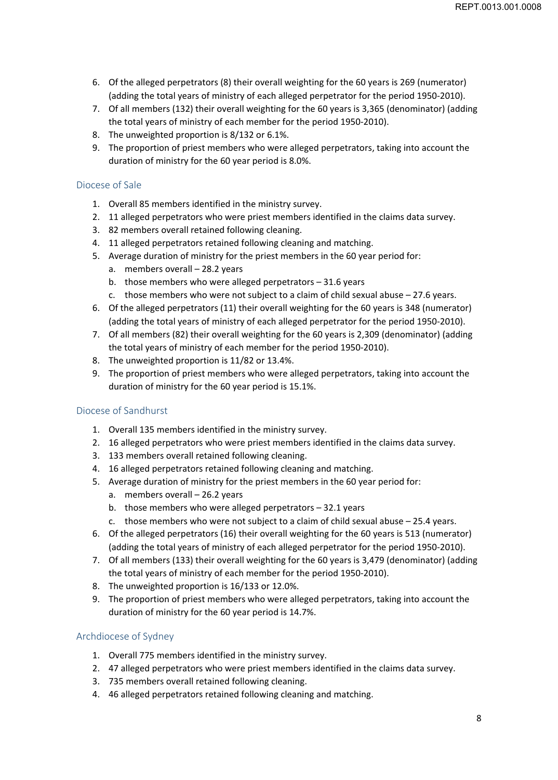- 6. Of the alleged perpetrators (8) their overall weighting for the 60 years is 269 (numerator) (adding the total years of ministry of each alleged perpetrator for the period 1950‐2010).
- 7. Of all members (132) their overall weighting for the 60 years is 3,365 (denominator) (adding the total years of ministry of each member for the period 1950‐2010).
- 8. The unweighted proportion is 8/132 or 6.1%.
- 9. The proportion of priest members who were alleged perpetrators, taking into account the duration of ministry for the 60 year period is 8.0%.

## Diocese of Sale

- 1. Overall 85 members identified in the ministry survey.
- 2. 11 alleged perpetrators who were priest members identified in the claims data survey.
- 3. 82 members overall retained following cleaning.
- 4. 11 alleged perpetrators retained following cleaning and matching.
- 5. Average duration of ministry for the priest members in the 60 year period for:
	- a. members overall 28.2 years
	- b. those members who were alleged perpetrators 31.6 years
	- c. those members who were not subject to a claim of child sexual abuse 27.6 years.
- 6. Of the alleged perpetrators (11) their overall weighting for the 60 years is 348 (numerator) (adding the total years of ministry of each alleged perpetrator for the period 1950‐2010).
- 7. Of all members (82) their overall weighting for the 60 years is 2,309 (denominator) (adding the total years of ministry of each member for the period 1950‐2010).
- 8. The unweighted proportion is 11/82 or 13.4%.
- 9. The proportion of priest members who were alleged perpetrators, taking into account the duration of ministry for the 60 year period is 15.1%.

#### Diocese of Sandhurst

- 1. Overall 135 members identified in the ministry survey.
- 2. 16 alleged perpetrators who were priest members identified in the claims data survey.
- 3. 133 members overall retained following cleaning.
- 4. 16 alleged perpetrators retained following cleaning and matching.
- 5. Average duration of ministry for the priest members in the 60 year period for:
	- a. members overall 26.2 years
	- b. those members who were alleged perpetrators 32.1 years
	- c. those members who were not subject to a claim of child sexual abuse 25.4 years.
- 6. Of the alleged perpetrators (16) their overall weighting for the 60 years is 513 (numerator) (adding the total years of ministry of each alleged perpetrator for the period 1950‐2010).
- 7. Of all members (133) their overall weighting for the 60 years is 3,479 (denominator) (adding the total years of ministry of each member for the period 1950‐2010).
- 8. The unweighted proportion is 16/133 or 12.0%.
- 9. The proportion of priest members who were alleged perpetrators, taking into account the duration of ministry for the 60 year period is 14.7%.

#### Archdiocese of Sydney

- 1. Overall 775 members identified in the ministry survey.
- 2. 47 alleged perpetrators who were priest members identified in the claims data survey.
- 3. 735 members overall retained following cleaning.
- 4. 46 alleged perpetrators retained following cleaning and matching.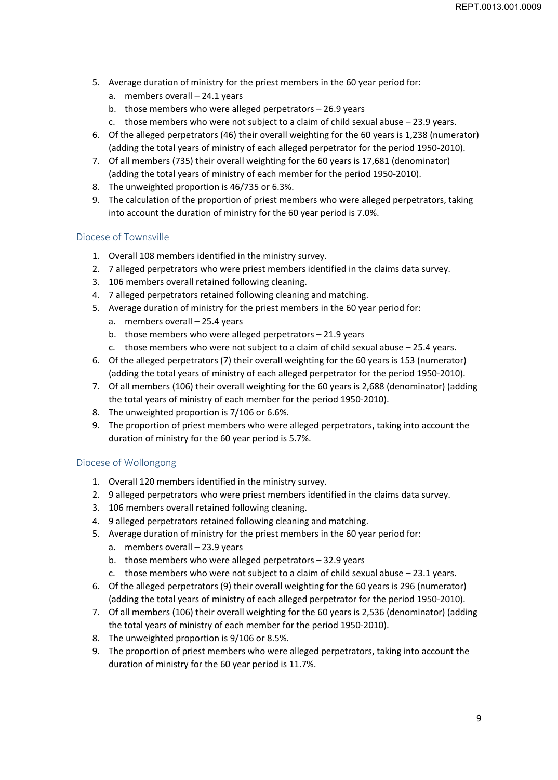- 5. Average duration of ministry for the priest members in the 60 year period for:
	- a. members overall 24.1 years
	- b. those members who were alleged perpetrators 26.9 years
	- c. those members who were not subject to a claim of child sexual abuse 23.9 years.
- 6. Of the alleged perpetrators (46) their overall weighting for the 60 years is 1,238 (numerator) (adding the total years of ministry of each alleged perpetrator for the period 1950‐2010).
- 7. Of all members (735) their overall weighting for the 60 years is 17,681 (denominator) (adding the total years of ministry of each member for the period 1950‐2010).
- 8. The unweighted proportion is 46/735 or 6.3%.
- 9. The calculation of the proportion of priest members who were alleged perpetrators, taking into account the duration of ministry for the 60 year period is 7.0%.

## Diocese of Townsville

- 1. Overall 108 members identified in the ministry survey.
- 2. 7 alleged perpetrators who were priest members identified in the claims data survey.
- 3. 106 members overall retained following cleaning.
- 4. 7 alleged perpetrators retained following cleaning and matching.
- 5. Average duration of ministry for the priest members in the 60 year period for:
	- a. members overall 25.4 years
	- b. those members who were alleged perpetrators 21.9 years
	- c. those members who were not subject to a claim of child sexual abuse 25.4 years.
- 6. Of the alleged perpetrators (7) their overall weighting for the 60 years is 153 (numerator) (adding the total years of ministry of each alleged perpetrator for the period 1950‐2010).
- 7. Of all members (106) their overall weighting for the 60 years is 2,688 (denominator) (adding the total years of ministry of each member for the period 1950‐2010).
- 8. The unweighted proportion is 7/106 or 6.6%.
- 9. The proportion of priest members who were alleged perpetrators, taking into account the duration of ministry for the 60 year period is 5.7%.

# Diocese of Wollongong

- 1. Overall 120 members identified in the ministry survey.
- 2. 9 alleged perpetrators who were priest members identified in the claims data survey.
- 3. 106 members overall retained following cleaning.
- 4. 9 alleged perpetrators retained following cleaning and matching.
- 5. Average duration of ministry for the priest members in the 60 year period for:
	- a. members overall 23.9 years
	- b. those members who were alleged perpetrators 32.9 years
	- c. those members who were not subject to a claim of child sexual abuse 23.1 years.
- 6. Of the alleged perpetrators (9) their overall weighting for the 60 years is 296 (numerator) (adding the total years of ministry of each alleged perpetrator for the period 1950‐2010).
- 7. Of all members (106) their overall weighting for the 60 years is 2,536 (denominator) (adding the total years of ministry of each member for the period 1950‐2010).
- 8. The unweighted proportion is 9/106 or 8.5%.
- 9. The proportion of priest members who were alleged perpetrators, taking into account the duration of ministry for the 60 year period is 11.7%.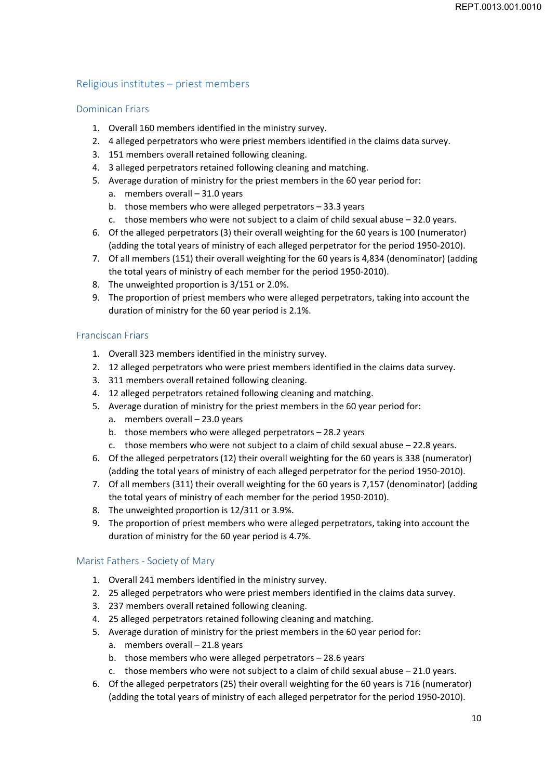# Religious institutes – priest members

## Dominican Friars

- 1. Overall 160 members identified in the ministry survey.
- 2. 4 alleged perpetrators who were priest members identified in the claims data survey.
- 3. 151 members overall retained following cleaning.
- 4. 3 alleged perpetrators retained following cleaning and matching.
- 5. Average duration of ministry for the priest members in the 60 year period for:
	- a. members overall 31.0 years
	- b. those members who were alleged perpetrators 33.3 years
	- c. those members who were not subject to a claim of child sexual abuse 32.0 years.
- 6. Of the alleged perpetrators (3) their overall weighting for the 60 years is 100 (numerator) (adding the total years of ministry of each alleged perpetrator for the period 1950‐2010).
- 7. Of all members (151) their overall weighting for the 60 years is 4,834 (denominator) (adding the total years of ministry of each member for the period 1950‐2010).
- 8. The unweighted proportion is 3/151 or 2.0%.
- 9. The proportion of priest members who were alleged perpetrators, taking into account the duration of ministry for the 60 year period is 2.1%.

## Franciscan Friars

- 1. Overall 323 members identified in the ministry survey.
- 2. 12 alleged perpetrators who were priest members identified in the claims data survey.
- 3. 311 members overall retained following cleaning.
- 4. 12 alleged perpetrators retained following cleaning and matching.
- 5. Average duration of ministry for the priest members in the 60 year period for:
	- a. members overall 23.0 years
	- b. those members who were alleged perpetrators 28.2 years
	- c. those members who were not subject to a claim of child sexual abuse  $-22.8$  years.
- 6. Of the alleged perpetrators (12) their overall weighting for the 60 years is 338 (numerator) (adding the total years of ministry of each alleged perpetrator for the period 1950‐2010).
- 7. Of all members (311) their overall weighting for the 60 years is 7,157 (denominator) (adding the total years of ministry of each member for the period 1950‐2010).
- 8. The unweighted proportion is 12/311 or 3.9%.
- 9. The proportion of priest members who were alleged perpetrators, taking into account the duration of ministry for the 60 year period is 4.7%.

# Marist Fathers ‐ Society of Mary

- 1. Overall 241 members identified in the ministry survey.
- 2. 25 alleged perpetrators who were priest members identified in the claims data survey.
- 3. 237 members overall retained following cleaning.
- 4. 25 alleged perpetrators retained following cleaning and matching.
- 5. Average duration of ministry for the priest members in the 60 year period for: a. members overall – 21.8 years
	- b. those members who were alleged perpetrators 28.6 years
	- c. those members who were not subject to a claim of child sexual abuse 21.0 years.
- 6. Of the alleged perpetrators (25) their overall weighting for the 60 years is 716 (numerator) (adding the total years of ministry of each alleged perpetrator for the period 1950‐2010).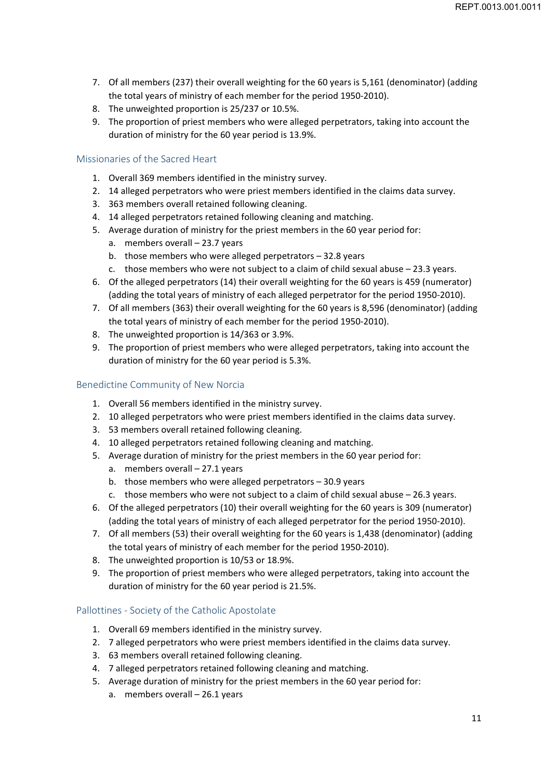- 7. Of all members (237) their overall weighting for the 60 years is 5,161 (denominator) (adding the total years of ministry of each member for the period 1950‐2010).
- 8. The unweighted proportion is 25/237 or 10.5%.
- 9. The proportion of priest members who were alleged perpetrators, taking into account the duration of ministry for the 60 year period is 13.9%.

#### Missionaries of the Sacred Heart

- 1. Overall 369 members identified in the ministry survey.
- 2. 14 alleged perpetrators who were priest members identified in the claims data survey.
- 3. 363 members overall retained following cleaning.
- 4. 14 alleged perpetrators retained following cleaning and matching.
- 5. Average duration of ministry for the priest members in the 60 year period for:
	- a. members overall 23.7 years
	- b. those members who were alleged perpetrators 32.8 years
	- c. those members who were not subject to a claim of child sexual abuse 23.3 years.
- 6. Of the alleged perpetrators (14) their overall weighting for the 60 years is 459 (numerator) (adding the total years of ministry of each alleged perpetrator for the period 1950‐2010).
- 7. Of all members (363) their overall weighting for the 60 years is 8,596 (denominator) (adding the total years of ministry of each member for the period 1950‐2010).
- 8. The unweighted proportion is 14/363 or 3.9%.
- 9. The proportion of priest members who were alleged perpetrators, taking into account the duration of ministry for the 60 year period is 5.3%.

# Benedictine Community of New Norcia

- 1. Overall 56 members identified in the ministry survey.
- 2. 10 alleged perpetrators who were priest members identified in the claims data survey.
- 3. 53 members overall retained following cleaning.
- 4. 10 alleged perpetrators retained following cleaning and matching.
- 5. Average duration of ministry for the priest members in the 60 year period for:
	- a. members overall 27.1 years
	- b. those members who were alleged perpetrators 30.9 years
	- c. those members who were not subject to a claim of child sexual abuse 26.3 years.
- 6. Of the alleged perpetrators (10) their overall weighting for the 60 years is 309 (numerator) (adding the total years of ministry of each alleged perpetrator for the period 1950‐2010).
- 7. Of all members (53) their overall weighting for the 60 years is 1,438 (denominator) (adding the total years of ministry of each member for the period 1950‐2010).
- 8. The unweighted proportion is 10/53 or 18.9%.
- 9. The proportion of priest members who were alleged perpetrators, taking into account the duration of ministry for the 60 year period is 21.5%.

#### Pallottines ‐ Society of the Catholic Apostolate

- 1. Overall 69 members identified in the ministry survey.
- 2. 7 alleged perpetrators who were priest members identified in the claims data survey.
- 3. 63 members overall retained following cleaning.
- 4. 7 alleged perpetrators retained following cleaning and matching.
- 5. Average duration of ministry for the priest members in the 60 year period for: a. members overall – 26.1 years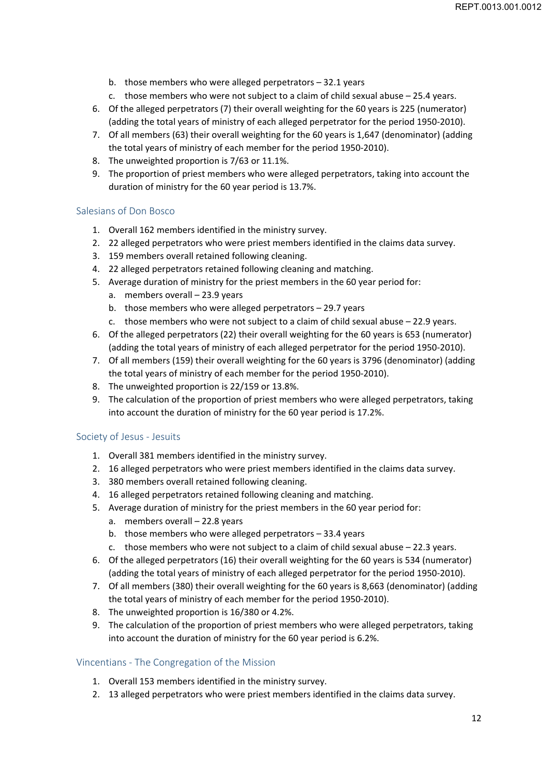- b. those members who were alleged perpetrators 32.1 years
- c. those members who were not subject to a claim of child sexual abuse  $-25.4$  years.
- 6. Of the alleged perpetrators (7) their overall weighting for the 60 years is 225 (numerator) (adding the total years of ministry of each alleged perpetrator for the period 1950‐2010).
- 7. Of all members (63) their overall weighting for the 60 years is 1,647 (denominator) (adding the total years of ministry of each member for the period 1950‐2010).
- 8. The unweighted proportion is 7/63 or 11.1%.
- 9. The proportion of priest members who were alleged perpetrators, taking into account the duration of ministry for the 60 year period is 13.7%.

#### Salesians of Don Bosco

- 1. Overall 162 members identified in the ministry survey.
- 2. 22 alleged perpetrators who were priest members identified in the claims data survey.
- 3. 159 members overall retained following cleaning.
- 4. 22 alleged perpetrators retained following cleaning and matching.
- 5. Average duration of ministry for the priest members in the 60 year period for:
	- a. members overall 23.9 years
	- b. those members who were alleged perpetrators 29.7 years
	- c. those members who were not subject to a claim of child sexual abuse 22.9 years.
- 6. Of the alleged perpetrators (22) their overall weighting for the 60 years is 653 (numerator) (adding the total years of ministry of each alleged perpetrator for the period 1950‐2010).
- 7. Of all members (159) their overall weighting for the 60 years is 3796 (denominator) (adding the total years of ministry of each member for the period 1950‐2010).
- 8. The unweighted proportion is 22/159 or 13.8%.
- 9. The calculation of the proportion of priest members who were alleged perpetrators, taking into account the duration of ministry for the 60 year period is 17.2%.

#### Society of Jesus ‐ Jesuits

- 1. Overall 381 members identified in the ministry survey.
- 2. 16 alleged perpetrators who were priest members identified in the claims data survey.
- 3. 380 members overall retained following cleaning.
- 4. 16 alleged perpetrators retained following cleaning and matching.
- 5. Average duration of ministry for the priest members in the 60 year period for:
	- a. members overall 22.8 years
	- b. those members who were alleged perpetrators 33.4 years
	- c. those members who were not subject to a claim of child sexual abuse 22.3 years.
- 6. Of the alleged perpetrators (16) their overall weighting for the 60 years is 534 (numerator) (adding the total years of ministry of each alleged perpetrator for the period 1950‐2010).
- 7. Of all members (380) their overall weighting for the 60 years is 8,663 (denominator) (adding the total years of ministry of each member for the period 1950‐2010).
- 8. The unweighted proportion is 16/380 or 4.2%.
- 9. The calculation of the proportion of priest members who were alleged perpetrators, taking into account the duration of ministry for the 60 year period is 6.2%.

#### Vincentians ‐ The Congregation of the Mission

- 1. Overall 153 members identified in the ministry survey.
- 2. 13 alleged perpetrators who were priest members identified in the claims data survey.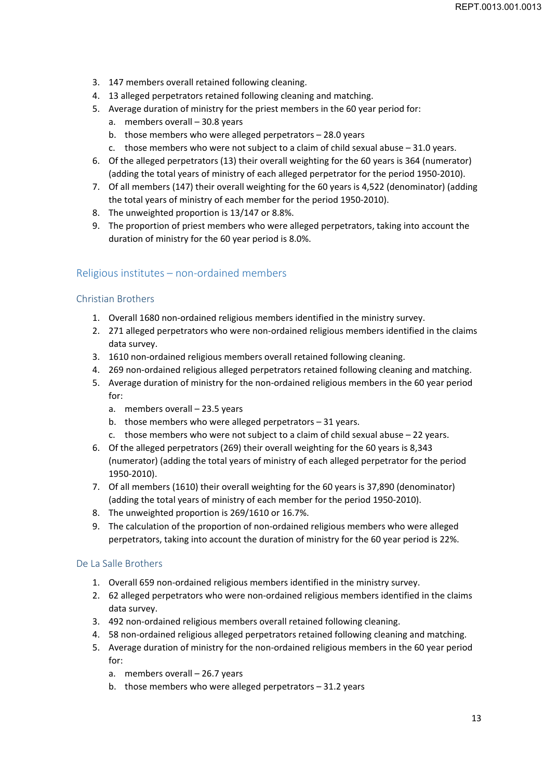- 3. 147 members overall retained following cleaning.
- 4. 13 alleged perpetrators retained following cleaning and matching.
- 5. Average duration of ministry for the priest members in the 60 year period for:
	- a. members overall 30.8 years
	- b. those members who were alleged perpetrators 28.0 years
	- c. those members who were not subject to a claim of child sexual abuse 31.0 years.
- 6. Of the alleged perpetrators (13) their overall weighting for the 60 years is 364 (numerator) (adding the total years of ministry of each alleged perpetrator for the period 1950‐2010).
- 7. Of all members (147) their overall weighting for the 60 years is 4,522 (denominator) (adding the total years of ministry of each member for the period 1950‐2010).
- 8. The unweighted proportion is 13/147 or 8.8%.
- 9. The proportion of priest members who were alleged perpetrators, taking into account the duration of ministry for the 60 year period is 8.0%.

#### Religious institutes – non‐ordained members

#### Christian Brothers

- 1. Overall 1680 non-ordained religious members identified in the ministry survey.
- 2. 271 alleged perpetrators who were non-ordained religious members identified in the claims data survey.
- 3. 1610 non-ordained religious members overall retained following cleaning.
- 4. 269 non‐ordained religious alleged perpetrators retained following cleaning and matching.
- 5. Average duration of ministry for the non‐ordained religious members in the 60 year period for:
	- a. members overall 23.5 years
	- b. those members who were alleged perpetrators 31 years.
	- c. those members who were not subject to a claim of child sexual abuse 22 years.
- 6. Of the alleged perpetrators (269) their overall weighting for the 60 years is 8,343 (numerator) (adding the total years of ministry of each alleged perpetrator for the period 1950‐2010).
- 7. Of all members (1610) their overall weighting for the 60 years is 37,890 (denominator) (adding the total years of ministry of each member for the period 1950‐2010).
- 8. The unweighted proportion is 269/1610 or 16.7%.
- 9. The calculation of the proportion of non-ordained religious members who were alleged perpetrators, taking into account the duration of ministry for the 60 year period is 22%.

#### De La Salle Brothers

- 1. Overall 659 non‐ordained religious members identified in the ministry survey.
- 2. 62 alleged perpetrators who were non-ordained religious members identified in the claims data survey.
- 3. 492 non‐ordained religious members overall retained following cleaning.
- 4. 58 non-ordained religious alleged perpetrators retained following cleaning and matching.
- 5. Average duration of ministry for the non-ordained religious members in the 60 year period for:
	- a. members overall 26.7 years
	- b. those members who were alleged perpetrators  $-31.2$  years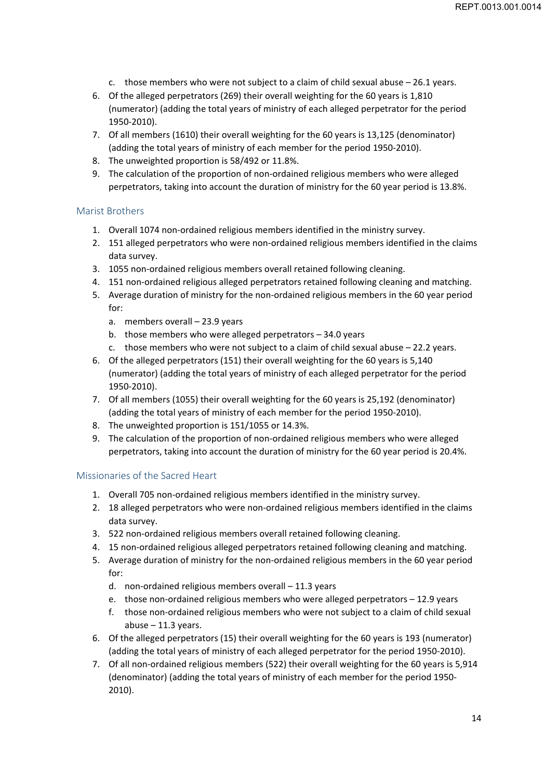- c. those members who were not subject to a claim of child sexual abuse  $-26.1$  years.
- 6. Of the alleged perpetrators (269) their overall weighting for the 60 years is 1,810 (numerator) (adding the total years of ministry of each alleged perpetrator for the period 1950‐2010).
- 7. Of all members (1610) their overall weighting for the 60 years is 13,125 (denominator) (adding the total years of ministry of each member for the period 1950‐2010).
- 8. The unweighted proportion is 58/492 or 11.8%.
- 9. The calculation of the proportion of non-ordained religious members who were alleged perpetrators, taking into account the duration of ministry for the 60 year period is 13.8%.

#### Marist Brothers

- 1. Overall 1074 non-ordained religious members identified in the ministry survey.
- 2. 151 alleged perpetrators who were non-ordained religious members identified in the claims data survey.
- 3. 1055 non-ordained religious members overall retained following cleaning.
- 4. 151 non‐ordained religious alleged perpetrators retained following cleaning and matching.
- 5. Average duration of ministry for the non-ordained religious members in the 60 year period for:
	- a. members overall 23.9 years
	- b. those members who were alleged perpetrators 34.0 years
	- c. those members who were not subject to a claim of child sexual abuse 22.2 years.
- 6. Of the alleged perpetrators (151) their overall weighting for the 60 years is 5,140 (numerator) (adding the total years of ministry of each alleged perpetrator for the period 1950‐2010).
- 7. Of all members (1055) their overall weighting for the 60 years is 25,192 (denominator) (adding the total years of ministry of each member for the period 1950‐2010).
- 8. The unweighted proportion is 151/1055 or 14.3%.
- 9. The calculation of the proportion of non-ordained religious members who were alleged perpetrators, taking into account the duration of ministry for the 60 year period is 20.4%.

#### Missionaries of the Sacred Heart

- 1. Overall 705 non‐ordained religious members identified in the ministry survey.
- 2. 18 alleged perpetrators who were non-ordained religious members identified in the claims data survey.
- 3. 522 non‐ordained religious members overall retained following cleaning.
- 4. 15 non-ordained religious alleged perpetrators retained following cleaning and matching.
- 5. Average duration of ministry for the non-ordained religious members in the 60 year period for:
	- d. non‐ordained religious members overall 11.3 years
	- e. those non-ordained religious members who were alleged perpetrators 12.9 years
	- f. those non‐ordained religious members who were not subject to a claim of child sexual abuse  $-11.3$  years.
- 6. Of the alleged perpetrators (15) their overall weighting for the 60 years is 193 (numerator) (adding the total years of ministry of each alleged perpetrator for the period 1950‐2010).
- 7. Of all non-ordained religious members (522) their overall weighting for the 60 years is 5,914 (denominator) (adding the total years of ministry of each member for the period 1950‐ 2010).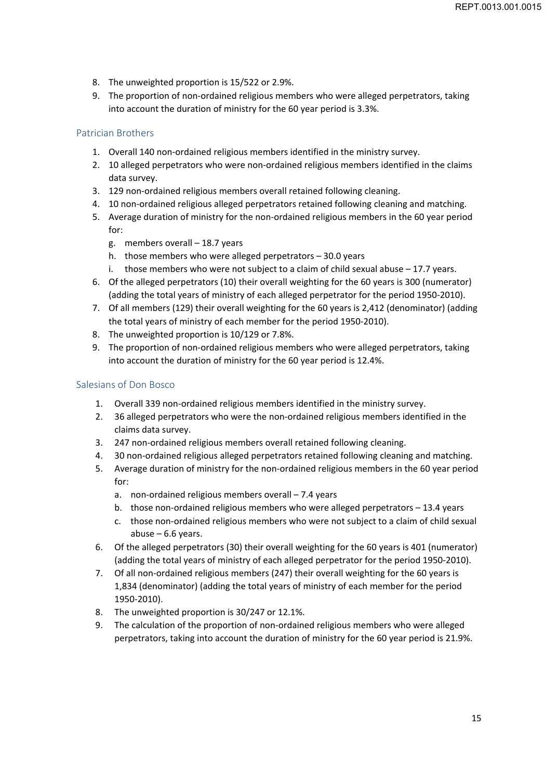- 8. The unweighted proportion is 15/522 or 2.9%.
- 9. The proportion of non‐ordained religious members who were alleged perpetrators, taking into account the duration of ministry for the 60 year period is 3.3%.

# Patrician Brothers

- 1. Overall 140 non-ordained religious members identified in the ministry survey.
- 2. 10 alleged perpetrators who were non-ordained religious members identified in the claims data survey.
- 3. 129 non‐ordained religious members overall retained following cleaning.
- 4. 10 non-ordained religious alleged perpetrators retained following cleaning and matching.
- 5. Average duration of ministry for the non‐ordained religious members in the 60 year period for:
	- g. members overall 18.7 years
	- h. those members who were alleged perpetrators 30.0 years
	- i. those members who were not subject to a claim of child sexual abuse  $-17.7$  years.
- 6. Of the alleged perpetrators (10) their overall weighting for the 60 years is 300 (numerator) (adding the total years of ministry of each alleged perpetrator for the period 1950‐2010).
- 7. Of all members (129) their overall weighting for the 60 years is 2,412 (denominator) (adding the total years of ministry of each member for the period 1950‐2010).
- 8. The unweighted proportion is 10/129 or 7.8%.
- 9. The proportion of non-ordained religious members who were alleged perpetrators, taking into account the duration of ministry for the 60 year period is 12.4%.

#### Salesians of Don Bosco

- 1. Overall 339 non-ordained religious members identified in the ministry survey.
- 2. 36 alleged perpetrators who were the non-ordained religious members identified in the claims data survey.
- 3. 247 non-ordained religious members overall retained following cleaning.
- 4. 30 non-ordained religious alleged perpetrators retained following cleaning and matching.
- 5. Average duration of ministry for the non‐ordained religious members in the 60 year period for:
	- a. non-ordained religious members overall 7.4 years
	- b. those non-ordained religious members who were alleged perpetrators 13.4 years
	- c. those non‐ordained religious members who were not subject to a claim of child sexual abuse  $-6.6$  years.
- 6. Of the alleged perpetrators (30) their overall weighting for the 60 years is 401 (numerator) (adding the total years of ministry of each alleged perpetrator for the period 1950‐2010).
- 7. Of all non-ordained religious members (247) their overall weighting for the 60 years is 1,834 (denominator) (adding the total years of ministry of each member for the period 1950‐2010).
- 8. The unweighted proportion is 30/247 or 12.1%.
- 9. The calculation of the proportion of non‐ordained religious members who were alleged perpetrators, taking into account the duration of ministry for the 60 year period is 21.9%.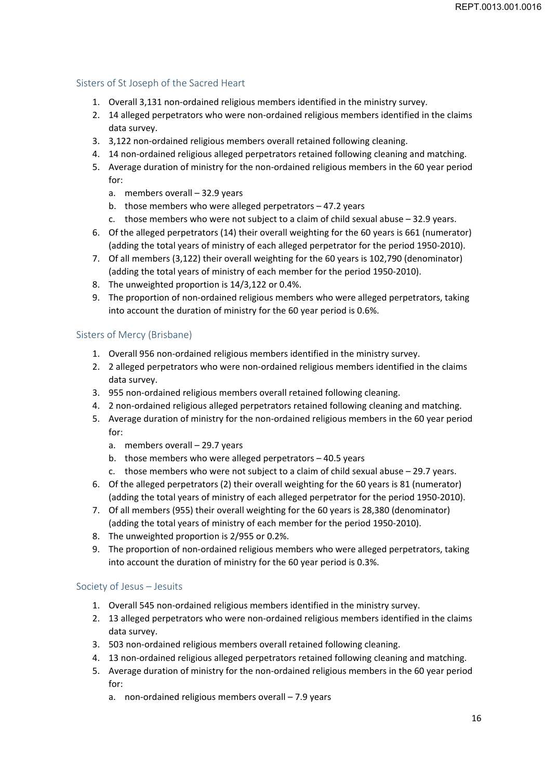# Sisters of St Joseph of the Sacred Heart

- 1. Overall 3,131 non‐ordained religious members identified in the ministry survey.
- 2. 14 alleged perpetrators who were non-ordained religious members identified in the claims data survey.
- 3. 3,122 non‐ordained religious members overall retained following cleaning.
- 4. 14 non-ordained religious alleged perpetrators retained following cleaning and matching.
- 5. Average duration of ministry for the non-ordained religious members in the 60 year period for:
	- a. members overall 32.9 years
	- b. those members who were alleged perpetrators 47.2 years
	- c. those members who were not subject to a claim of child sexual abuse 32.9 years.
- 6. Of the alleged perpetrators (14) their overall weighting for the 60 years is 661 (numerator) (adding the total years of ministry of each alleged perpetrator for the period 1950‐2010).
- 7. Of all members (3,122) their overall weighting for the 60 years is 102,790 (denominator) (adding the total years of ministry of each member for the period 1950‐2010).
- 8. The unweighted proportion is 14/3,122 or 0.4%.
- 9. The proportion of non-ordained religious members who were alleged perpetrators, taking into account the duration of ministry for the 60 year period is 0.6%.

## Sisters of Mercy (Brisbane)

- 1. Overall 956 non‐ordained religious members identified in the ministry survey.
- 2. 2 alleged perpetrators who were non-ordained religious members identified in the claims data survey.
- 3. 955 non‐ordained religious members overall retained following cleaning.
- 4. 2 non-ordained religious alleged perpetrators retained following cleaning and matching.
- 5. Average duration of ministry for the non-ordained religious members in the 60 year period for:
	- a. members overall 29.7 years
	- b. those members who were alleged perpetrators 40.5 years
	- c. those members who were not subject to a claim of child sexual abuse 29.7 years.
- 6. Of the alleged perpetrators (2) their overall weighting for the 60 years is 81 (numerator) (adding the total years of ministry of each alleged perpetrator for the period 1950‐2010).
- 7. Of all members (955) their overall weighting for the 60 years is 28,380 (denominator) (adding the total years of ministry of each member for the period 1950‐2010).
- 8. The unweighted proportion is 2/955 or 0.2%.
- 9. The proportion of non-ordained religious members who were alleged perpetrators, taking into account the duration of ministry for the 60 year period is 0.3%.

# Society of Jesus – Jesuits

- 1. Overall 545 non‐ordained religious members identified in the ministry survey.
- 2. 13 alleged perpetrators who were non-ordained religious members identified in the claims data survey.
- 3. 503 non‐ordained religious members overall retained following cleaning.
- 4. 13 non-ordained religious alleged perpetrators retained following cleaning and matching.
- 5. Average duration of ministry for the non-ordained religious members in the 60 year period for:
	- a. non-ordained religious members overall 7.9 years